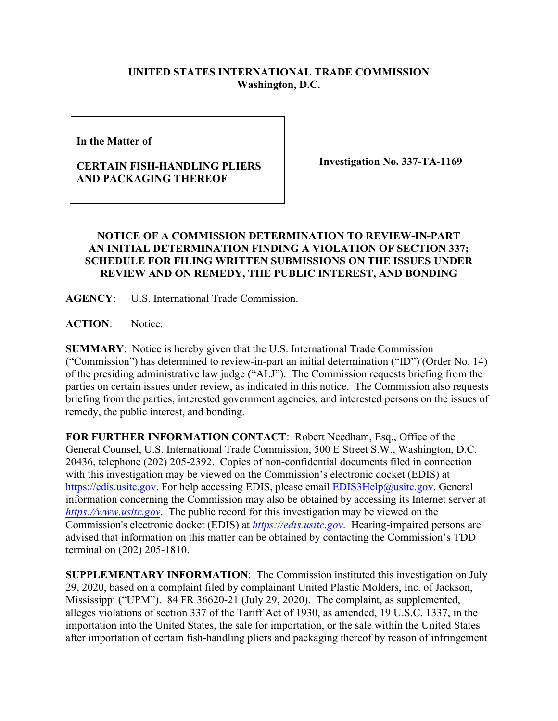## **UNITED STATES INTERNATIONAL TRADE COMMISSION Washington, D.C.**

**In the Matter of** 

## **CERTAIN FISH-HANDLING PLIERS AND PACKAGING THEREOF**

**Investigation No. 337-TA-1169**

## **NOTICE OF A COMMISSION DETERMINATION TO REVIEW-IN-PART AN INITIAL DETERMINATION FINDING A VIOLATION OF SECTION 337; SCHEDULE FOR FILING WRITTEN SUBMISSIONS ON THE ISSUES UNDER REVIEW AND ON REMEDY, THE PUBLIC INTEREST, AND BONDING**

**AGENCY**: U.S. International Trade Commission.

ACTION: Notice.

**SUMMARY**: Notice is hereby given that the U.S. International Trade Commission ("Commission") has determined to review-in-part an initial determination ("ID") (Order No. 14) of the presiding administrative law judge ("ALJ"). The Commission requests briefing from the parties on certain issues under review, as indicated in this notice. The Commission also requests briefing from the parties, interested government agencies, and interested persons on the issues of remedy, the public interest, and bonding.

**FOR FURTHER INFORMATION CONTACT**: Robert Needham, Esq., Office of the General Counsel, U.S. International Trade Commission, 500 E Street S.W., Washington, D.C. 20436, telephone (202) 205-2392. Copies of non-confidential documents filed in connection with this investigation may be viewed on the Commission's electronic docket (EDIS) at [https://edis.usitc.gov.](https://edis.usitc.gov/) For help accessing EDIS, please email [EDIS3Help@usitc.gov.](mailto:EDIS3Help@usitc.gov) General information concerning the Commission may also be obtained by accessing its Internet server at *[https://www.usitc.gov](https://www.usitc.gov/)*. The public record for this investigation may be viewed on the Commission's electronic docket (EDIS) at *[https://edis.usitc.gov](https://edis.usitc.gov/)*. Hearing-impaired persons are advised that information on this matter can be obtained by contacting the Commission's TDD terminal on (202) 205-1810.

**SUPPLEMENTARY INFORMATION**: The Commission instituted this investigation on July 29, 2020, based on a complaint filed by complainant United Plastic Molders, Inc. of Jackson, Mississippi ("UPM"). 84 FR 36620-21 (July 29, 2020). The complaint, as supplemented, alleges violations of section 337 of the Tariff Act of 1930, as amended, 19 U.S.C. 1337, in the importation into the United States, the sale for importation, or the sale within the United States after importation of certain fish-handling pliers and packaging thereof by reason of infringement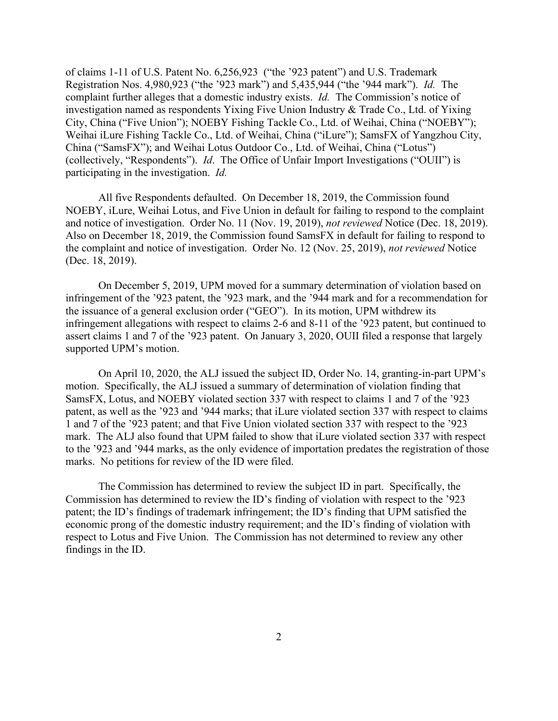of claims 1-11 of U.S. Patent No. 6,256,923 ("the '923 patent") and U.S. Trademark Registration Nos. 4,980,923 ("the '923 mark") and 5,435,944 ("the '944 mark"). *Id.* The complaint further alleges that a domestic industry exists. *Id.* The Commission's notice of investigation named as respondents Yixing Five Union Industry & Trade Co., Ltd. of Yixing City, China ("Five Union"); NOEBY Fishing Tackle Co., Ltd. of Weihai, China ("NOEBY"); Weihai iLure Fishing Tackle Co., Ltd. of Weihai, China ("iLure"); SamsFX of Yangzhou City, China ("SamsFX"); and Weihai Lotus Outdoor Co., Ltd. of Weihai, China ("Lotus") (collectively, "Respondents"). *Id*. The Office of Unfair Import Investigations ("OUII") is participating in the investigation. *Id.*

All five Respondents defaulted. On December 18, 2019, the Commission found NOEBY, iLure, Weihai Lotus, and Five Union in default for failing to respond to the complaint and notice of investigation. Order No. 11 (Nov. 19, 2019), *not reviewed* Notice (Dec. 18, 2019). Also on December 18, 2019, the Commission found SamsFX in default for failing to respond to the complaint and notice of investigation. Order No. 12 (Nov. 25, 2019), *not reviewed* Notice (Dec. 18, 2019).

On December 5, 2019, UPM moved for a summary determination of violation based on infringement of the '923 patent, the '923 mark, and the '944 mark and for a recommendation for the issuance of a general exclusion order ("GEO"). In its motion, UPM withdrew its infringement allegations with respect to claims 2-6 and 8-11 of the '923 patent, but continued to assert claims 1 and 7 of the '923 patent. On January 3, 2020, OUII filed a response that largely supported UPM's motion.

On April 10, 2020, the ALJ issued the subject ID, Order No. 14, granting-in-part UPM's motion. Specifically, the ALJ issued a summary of determination of violation finding that SamsFX, Lotus, and NOEBY violated section 337 with respect to claims 1 and 7 of the '923 patent, as well as the '923 and '944 marks; that iLure violated section 337 with respect to claims 1 and 7 of the '923 patent; and that Five Union violated section 337 with respect to the '923 mark. The ALJ also found that UPM failed to show that iLure violated section 337 with respect to the '923 and '944 marks, as the only evidence of importation predates the registration of those marks. No petitions for review of the ID were filed.

The Commission has determined to review the subject ID in part. Specifically, the Commission has determined to review the ID's finding of violation with respect to the '923 patent; the ID's findings of trademark infringement; the ID's finding that UPM satisfied the economic prong of the domestic industry requirement; and the ID's finding of violation with respect to Lotus and Five Union. The Commission has not determined to review any other findings in the ID.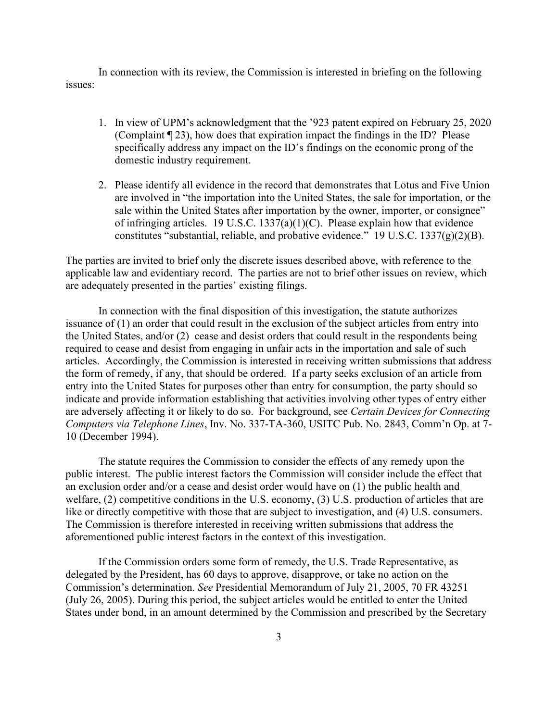In connection with its review, the Commission is interested in briefing on the following issues:

- 1. In view of UPM's acknowledgment that the '923 patent expired on February 25, 2020 (Complaint ¶ 23), how does that expiration impact the findings in the ID? Please specifically address any impact on the ID's findings on the economic prong of the domestic industry requirement.
- 2. Please identify all evidence in the record that demonstrates that Lotus and Five Union are involved in "the importation into the United States, the sale for importation, or the sale within the United States after importation by the owner, importer, or consignee" of infringing articles. 19 U.S.C.  $1337(a)(1)(C)$ . Please explain how that evidence constitutes "substantial, reliable, and probative evidence." 19 U.S.C.  $1337(g)(2)(B)$ .

The parties are invited to brief only the discrete issues described above, with reference to the applicable law and evidentiary record. The parties are not to brief other issues on review, which are adequately presented in the parties' existing filings.

In connection with the final disposition of this investigation, the statute authorizes issuance of (1) an order that could result in the exclusion of the subject articles from entry into the United States, and/or (2) cease and desist orders that could result in the respondents being required to cease and desist from engaging in unfair acts in the importation and sale of such articles. Accordingly, the Commission is interested in receiving written submissions that address the form of remedy, if any, that should be ordered. If a party seeks exclusion of an article from entry into the United States for purposes other than entry for consumption, the party should so indicate and provide information establishing that activities involving other types of entry either are adversely affecting it or likely to do so. For background, see *Certain Devices for Connecting Computers via Telephone Lines*, Inv. No. 337-TA-360, USITC Pub. No. 2843, Comm'n Op. at 7- 10 (December 1994).

The statute requires the Commission to consider the effects of any remedy upon the public interest. The public interest factors the Commission will consider include the effect that an exclusion order and/or a cease and desist order would have on (1) the public health and welfare, (2) competitive conditions in the U.S. economy, (3) U.S. production of articles that are like or directly competitive with those that are subject to investigation, and (4) U.S. consumers. The Commission is therefore interested in receiving written submissions that address the aforementioned public interest factors in the context of this investigation.

If the Commission orders some form of remedy, the U.S. Trade Representative, as delegated by the President, has 60 days to approve, disapprove, or take no action on the Commission's determination. *See* Presidential Memorandum of July 21, 2005, 70 FR 43251 (July 26, 2005). During this period, the subject articles would be entitled to enter the United States under bond, in an amount determined by the Commission and prescribed by the Secretary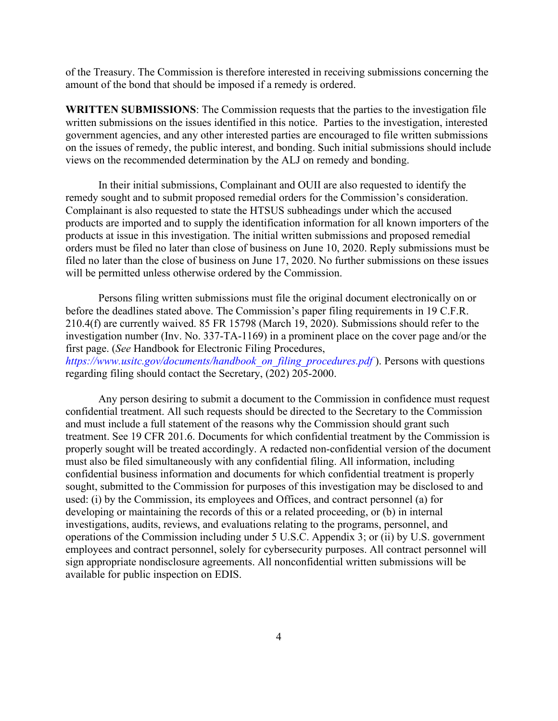of the Treasury. The Commission is therefore interested in receiving submissions concerning the amount of the bond that should be imposed if a remedy is ordered.

**WRITTEN SUBMISSIONS**: The Commission requests that the parties to the investigation file written submissions on the issues identified in this notice. Parties to the investigation, interested government agencies, and any other interested parties are encouraged to file written submissions on the issues of remedy, the public interest, and bonding. Such initial submissions should include views on the recommended determination by the ALJ on remedy and bonding.

In their initial submissions, Complainant and OUII are also requested to identify the remedy sought and to submit proposed remedial orders for the Commission's consideration. Complainant is also requested to state the HTSUS subheadings under which the accused products are imported and to supply the identification information for all known importers of the products at issue in this investigation. The initial written submissions and proposed remedial orders must be filed no later than close of business on June 10, 2020. Reply submissions must be filed no later than the close of business on June 17, 2020. No further submissions on these issues will be permitted unless otherwise ordered by the Commission.

Persons filing written submissions must file the original document electronically on or before the deadlines stated above. The Commission's paper filing requirements in 19 C.F.R. 210.4(f) are currently waived. 85 FR 15798 (March 19, 2020). Submissions should refer to the investigation number (Inv. No. 337-TA-1169) in a prominent place on the cover page and/or the first page. (*See* Handbook for Electronic Filing Procedures, *https://www.usitc.gov/documents/handbook\_on\_filing\_procedures.pdf* ). Persons with questions regarding filing should contact the Secretary, (202) 205-2000.

Any person desiring to submit a document to the Commission in confidence must request confidential treatment. All such requests should be directed to the Secretary to the Commission and must include a full statement of the reasons why the Commission should grant such treatment. See 19 CFR 201.6. Documents for which confidential treatment by the Commission is properly sought will be treated accordingly. A redacted non-confidential version of the document must also be filed simultaneously with any confidential filing. All information, including confidential business information and documents for which confidential treatment is properly sought, submitted to the Commission for purposes of this investigation may be disclosed to and used: (i) by the Commission, its employees and Offices, and contract personnel (a) for developing or maintaining the records of this or a related proceeding, or (b) in internal investigations, audits, reviews, and evaluations relating to the programs, personnel, and operations of the Commission including under 5 U.S.C. Appendix 3; or (ii) by U.S. government employees and contract personnel, solely for cybersecurity purposes. All contract personnel will sign appropriate nondisclosure agreements. All nonconfidential written submissions will be available for public inspection on EDIS.